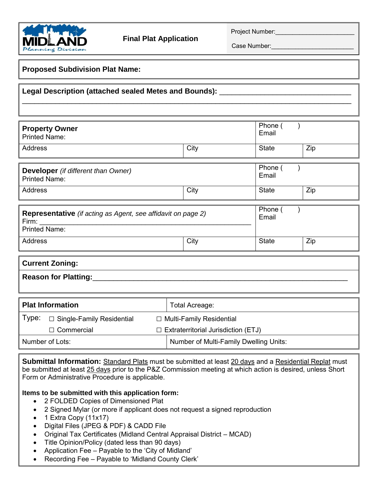

Project Number:

Case Number:

| <b>Proposed Subdivision Plat Name:</b>                                                                                                                                                                                                                                                                                              |                                                                                      |                |                  |     |  |
|-------------------------------------------------------------------------------------------------------------------------------------------------------------------------------------------------------------------------------------------------------------------------------------------------------------------------------------|--------------------------------------------------------------------------------------|----------------|------------------|-----|--|
| <b>Legal Description (attached sealed Metes and Bounds):</b>                                                                                                                                                                                                                                                                        |                                                                                      |                |                  |     |  |
|                                                                                                                                                                                                                                                                                                                                     |                                                                                      |                |                  |     |  |
| <b>Property Owner</b><br><b>Printed Name:</b>                                                                                                                                                                                                                                                                                       |                                                                                      |                | Phone (<br>Email |     |  |
| <b>Address</b>                                                                                                                                                                                                                                                                                                                      |                                                                                      | City           | <b>State</b>     | Zip |  |
| <b>Developer</b> (if different than Owner)<br><b>Printed Name:</b>                                                                                                                                                                                                                                                                  |                                                                                      |                | Phone (<br>Email |     |  |
| <b>Address</b>                                                                                                                                                                                                                                                                                                                      |                                                                                      | City           | <b>State</b>     | Zip |  |
| <b>Representative</b> (if acting as Agent, see affidavit on page 2)<br>Firm:<br><b>Printed Name:</b>                                                                                                                                                                                                                                |                                                                                      |                | Phone (<br>Email |     |  |
| Address                                                                                                                                                                                                                                                                                                                             |                                                                                      | City           | <b>State</b>     | Zip |  |
| <b>Current Zoning:</b>                                                                                                                                                                                                                                                                                                              |                                                                                      |                |                  |     |  |
| <b>Reason for Platting:</b>                                                                                                                                                                                                                                                                                                         |                                                                                      |                |                  |     |  |
| <b>Plat Information</b>                                                                                                                                                                                                                                                                                                             |                                                                                      | Total Acreage: |                  |     |  |
| Type:<br>□ Single-Family Residential<br>$\Box$ Multi-Family Residential                                                                                                                                                                                                                                                             |                                                                                      |                |                  |     |  |
| $\Box$ Commercial<br>Number of Lots:                                                                                                                                                                                                                                                                                                | $\Box$ Extraterritorial Jurisdiction (ETJ)<br>Number of Multi-Family Dwelling Units: |                |                  |     |  |
|                                                                                                                                                                                                                                                                                                                                     |                                                                                      |                |                  |     |  |
| <b>Submittal Information:</b> Standard Plats must be submitted at least 20 days and a Residential Replat must<br>be submitted at least 25 days prior to the P&Z Commission meeting at which action is desired, unless Short<br>Form or Administrative Procedure is applicable.<br>Items to be submitted with this application form: |                                                                                      |                |                  |     |  |

- 2 FOLDED Copies of Dimensioned Plat
- 2 Signed Mylar (or more if applicant does not request a signed reproduction
- $\bullet$  1 Extra Copy (11x17)
- Digital Files (JPEG & PDF) & CADD File
- Original Tax Certificates (Midland Central Appraisal District MCAD)
- Title Opinion/Policy (dated less than 90 days)
- Application Fee Payable to the 'City of Midland'
- Recording Fee Payable to 'Midland County Clerk'